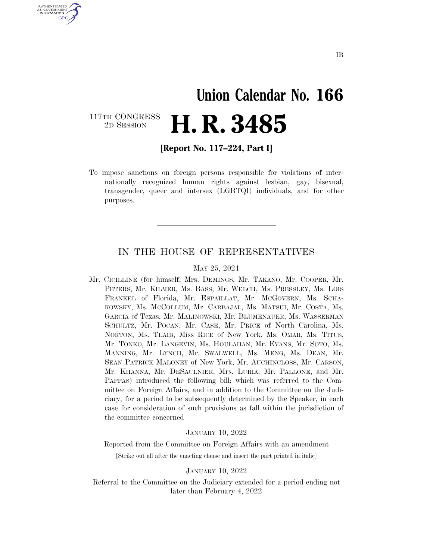# **Union Calendar No. 166**  2D SESSION **H. R. 3485**

117TH CONGRESS<br>2D SESSION

U.S. GOVERNMENT GPO

**[Report No. 117–224, Part I]** 

To impose sanctions on foreign persons responsible for violations of internationally recognized human rights against lesbian, gay, bisexual, transgender, queer and intersex (LGBTQI) individuals, and for other purposes.

### IN THE HOUSE OF REPRESENTATIVES

#### MAY 25, 2021

Mr. CICILLINE (for himself, Mrs. DEMINGS, Mr. TAKANO, Mr. COOPER, Mr. PETERS, Mr. KILMER, Ms. BASS, Mr. WELCH, Ms. PRESSLEY, Ms. LOIS FRANKEL of Florida, Mr. ESPAILLAT, Mr. MCGOVERN, Ms. SCHA-KOWSKY, Ms. MCCOLLUM, Mr. CARBAJAL, Ms. MATSUI, Mr. COSTA, Ms. GARCIA of Texas, Mr. MALINOWSKI, Mr. BLUMENAUER, Ms. WASSERMAN SCHULTZ, Mr. POCAN, Mr. CASE, Mr. PRICE of North Carolina, Ms. NORTON, Ms. TLAIB, Miss RICE of New York, Ms. OMAR, Ms. TITUS, Mr. TONKO, Mr. LANGEVIN, Ms. HOULAHAN, Mr. EVANS, Mr. SOTO, Ms. MANNING, Mr. LYNCH, Mr. SWALWELL, Ms. MENG, Ms. DEAN, Mr. SEAN PATRICK MALONEY of New York, Mr. AUCHINCLOSS, Mr. CARSON, Mr. KHANNA, Mr. DESAULNIER, Mrs. LURIA, Mr. PALLONE, and Mr. PAPPAS) introduced the following bill; which was referred to the Committee on Foreign Affairs, and in addition to the Committee on the Judiciary, for a period to be subsequently determined by the Speaker, in each case for consideration of such provisions as fall within the jurisdiction of the committee concerned

#### JANUARY 10, 2022

Reported from the Committee on Foreign Affairs with an amendment

[Strike out all after the enacting clause and insert the part printed in italic]

#### JANUARY 10, 2022

Referral to the Committee on the Judiciary extended for a period ending not later than February 4, 2022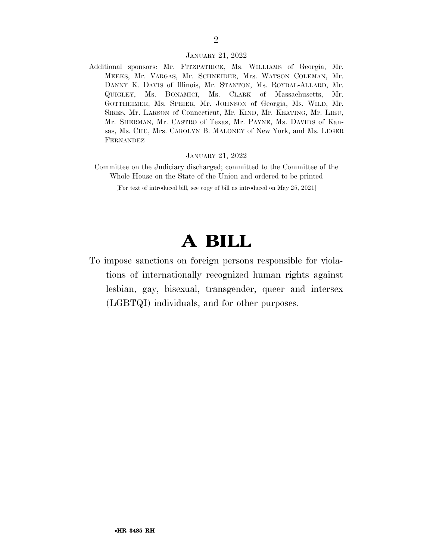#### JANUARY 21, 2022

Additional sponsors: Mr. FITZPATRICK, Ms. WILLIAMS of Georgia, Mr. MEEKS, Mr. VARGAS, Mr. SCHNEIDER, Mrs. WATSON COLEMAN, Mr. DANNY K. DAVIS of Illinois, Mr. STANTON, Ms. ROYBAL-ALLARD, Mr. QUIGLEY, Ms. BONAMICI, Ms. CLARK of Massachusetts, Mr. GOTTHEIMER, Ms. SPEIER, Mr. JOHNSON of Georgia, Ms. WILD, Mr. SIRES, Mr. LARSON of Connecticut, Mr. KIND, Mr. KEATING, Mr. LIEU, Mr. SHERMAN, Mr. CASTRO of Texas, Mr. PAYNE, Ms. DAVIDS of Kansas, Ms. CHU, Mrs. CAROLYN B. MALONEY of New York, and Ms. LEGER FERNANDEZ

#### JANUARY 21, 2022

Committee on the Judiciary discharged; committed to the Committee of the Whole House on the State of the Union and ordered to be printed

[For text of introduced bill, see copy of bill as introduced on May 25, 2021]

### **A BILL**

To impose sanctions on foreign persons responsible for violations of internationally recognized human rights against lesbian, gay, bisexual, transgender, queer and intersex (LGBTQI) individuals, and for other purposes.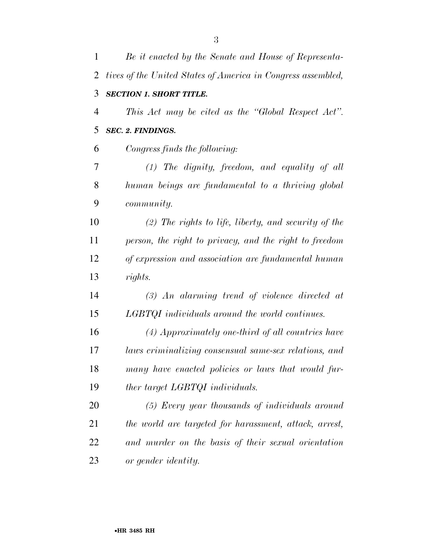| $\mathbf{1}$   | Be it enacted by the Senate and House of Representa-         |
|----------------|--------------------------------------------------------------|
| 2              | tives of the United States of America in Congress assembled, |
| 3              | <b>SECTION 1. SHORT TITLE.</b>                               |
| $\overline{4}$ | This Act may be cited as the "Global Respect Act".           |
| 5              | <b>SEC. 2. FINDINGS.</b>                                     |
| 6              | Congress finds the following:                                |
| 7              | $(1)$ The dignity, freedom, and equality of all              |
| 8              | human beings are fundamental to a thriving global            |
| 9              | <i>community.</i>                                            |
| 10             | $(2)$ The rights to life, liberty, and security of the       |
| 11             | person, the right to privacy, and the right to freedom       |
| 12             | of expression and association are fundamental human          |
| 13             | rights.                                                      |
| 14             | $(3)$ An alarming trend of violence directed at              |
| 15             | LGBTQI individuals around the world continues.               |
| 16             | (4) Approximately one-third of all countries have            |
| 17             | laws criminalizing consensual same-sex relations, and        |
| 18             | many have enacted policies or laws that would fur-           |
| 19             | ther target LGBTQI individuals.                              |
| 20             | (5) Every year thousands of individuals around               |
| 21             | the world are targeted for harassment, attack, arrest,       |
| 22             | and murder on the basis of their sexual orientation          |
| 23             | or gender identity.                                          |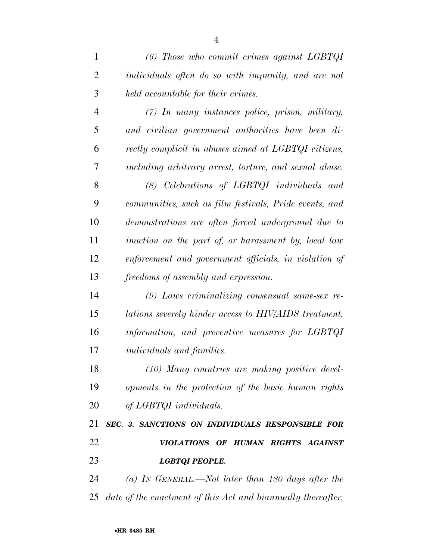*(6) Those who commit crimes against LGBTQI individuals often do so with impunity, and are not held accountable for their crimes. (7) In many instances police, prison, military, and civilian government authorities have been di- rectly complicit in abuses aimed at LGBTQI citizens, including arbitrary arrest, torture, and sexual abuse. (8) Celebrations of LGBTQI individuals and communities, such as film festivals, Pride events, and demonstrations are often forced underground due to inaction on the part of, or harassment by, local law enforcement and government officials, in violation of* 

 *(9) Laws criminalizing consensual same-sex re- lations severely hinder access to HIV/AIDS treatment, information, and preventive measures for LGBTQI individuals and families.* 

*freedoms of assembly and expression.* 

 *(10) Many countries are making positive devel- opments in the protection of the basic human rights of LGBTQI individuals.* 

 *SEC. 3. SANCTIONS ON INDIVIDUALS RESPONSIBLE FOR VIOLATIONS OF HUMAN RIGHTS AGAINST LGBTQI PEOPLE.* 

 *(a) IN GENERAL.—Not later than 180 days after the date of the enactment of this Act and biannually thereafter,*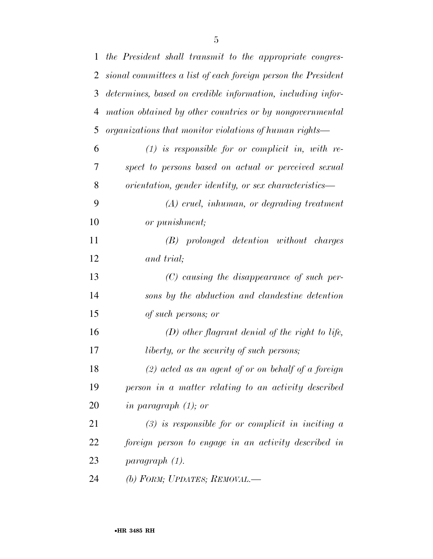| $\mathbf{1}$   | the President shall transmit to the appropriate congres-      |
|----------------|---------------------------------------------------------------|
| $\overline{2}$ | sional committees a list of each foreign person the President |
| 3              | determines, based on credible information, including infor-   |
| 4              | mation obtained by other countries or by nongovernmental      |
| 5              | organizations that monitor violations of human rights—        |
| 6              | $(1)$ is responsible for or complicit in, with re-            |
| 7              | spect to persons based on actual or perceived sexual          |
| 8              | orientation, gender identity, or sex characteristics-         |
| 9              | $(A)$ cruel, inhuman, or degrading treatment                  |
| 10             | or punishment;                                                |
| 11             | (B) prolonged detention without charges                       |
| 12             | and trial;                                                    |
| 13             | $(C)$ causing the disappearance of such per-                  |
| 14             | sons by the abduction and clandestine detention               |
| 15             | of such persons; or                                           |
| 16             | $(D)$ other flagrant denial of the right to life,             |
| 17             | <i>liberty, or the security of such persons;</i>              |
| 18             | $(2)$ acted as an agent of or on behalf of a foreign          |
| 19             | person in a matter relating to an activity described          |
| 20             | in paragraph $(1)$ ; or                                       |
| 21             | $(3)$ is responsible for or complicit in inciting a           |
| 22             | foreign person to engage in an activity described in          |
| 23             | paragraph (1).                                                |
| 24             | (b) FORM; UPDATES; REMOVAL.—                                  |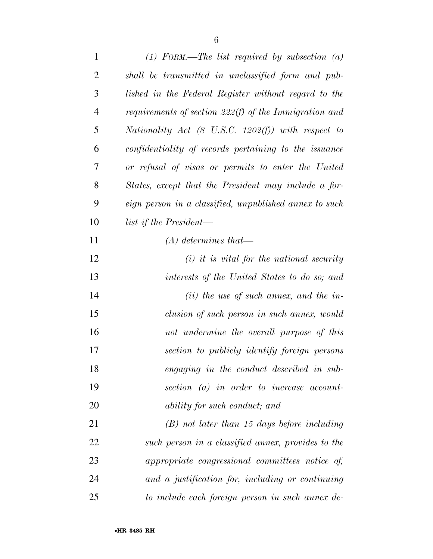| $\mathbf{1}$   | $(1)$ FORM.—The list required by subsection $(a)$             |
|----------------|---------------------------------------------------------------|
| $\overline{2}$ | shall be transmitted in unclassified form and pub-            |
| 3              | lished in the Federal Register without regard to the          |
| $\overline{4}$ | requirements of section $222(f)$ of the Immigration and       |
| 5              | Nationality Act $(8 \text{ U.S.C. } 1202(f))$ with respect to |
| 6              | confidentiality of records pertaining to the issuance         |
| 7              | or refusal of visas or permits to enter the United            |
| 8              | States, except that the President may include a for-          |
| 9              | eign person in a classified, unpublished annex to such        |
| 10             | list if the President—                                        |
| 11             | $(A)$ determines that—                                        |
| 12             | $(i)$ it is vital for the national security                   |
| 13             | interests of the United States to do so; and                  |
| 14             | $(ii)$ the use of such annex, and the in-                     |
| 15             | clusion of such person in such annex, would                   |
| 16             | not undermine the overall purpose of this                     |
| 17             | section to publicly identify foreign persons                  |
| 18             | engaging in the conduct described in sub-                     |
| 19             | section $(a)$ in order to increase account-                   |
| 20             | ability for such conduct; and                                 |
| 21             | $(B)$ not later than 15 days before including                 |
| 22             | such person in a classified annex, provides to the            |
| 23             | appropriate congressional committees notice of,               |
| 24             | and a justification for, including or continuing              |
| 25             | to include each foreign person in such annex de-              |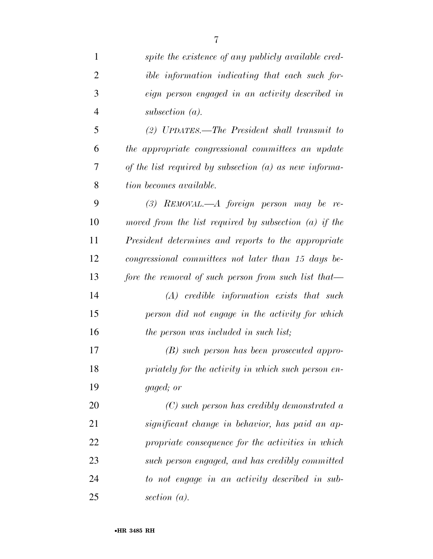| $\mathbf{1}$   | spite the existence of any publicly available cred-      |
|----------------|----------------------------------------------------------|
| $\overline{2}$ | ible information indicating that each such for-          |
| 3              | eign person engaged in an activity described in          |
| $\overline{4}$ | subsection $(a)$ .                                       |
| 5              | (2) UPDATES.—The President shall transmit to             |
| 6              | the appropriate congressional committees an update       |
| 7              | of the list required by subsection $(a)$ as new informa- |
| 8              | tion becomes available.                                  |
| 9              | $(3)$ REMOVAL.—A foreign person may be re-               |
| 10             | moved from the list required by subsection $(a)$ if the  |
| 11             | President determines and reports to the appropriate      |
| 12             | congressional committees not later than 15 days be-      |
| 13             | fore the removal of such person from such list that—     |
| 14             | $(A)$ credible information exists that such              |
| 15             | person did not engage in the activity for which          |
| 16             | the person was included in such list;                    |
| 17             | (B) such person has been prosecuted appro-               |
| 18             | priately for the activity in which such person en-       |
| 19             | gaged; or                                                |
| 20             | $(C)$ such person has credibly demonstrated a            |
| 21             | significant change in behavior, has paid an ap-          |
| 22             | propriate consequence for the activities in which        |
| 23             | such person engaged, and has credibly committed          |
| 24             | to not engage in an activity described in sub-           |
| 25             | section $(a)$ .                                          |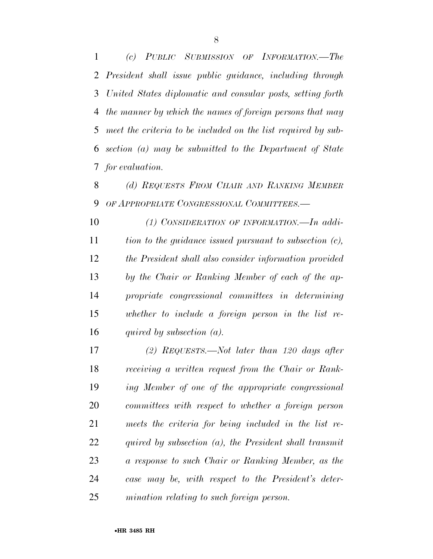*(c) PUBLIC SUBMISSION OF INFORMATION.—The President shall issue public guidance, including through United States diplomatic and consular posts, setting forth the manner by which the names of foreign persons that may meet the criteria to be included on the list required by sub- section (a) may be submitted to the Department of State for evaluation.* 

 *(d) REQUESTS FROM CHAIR AND RANKING MEMBER OF APPROPRIATE CONGRESSIONAL COMMITTEES.—* 

 *(1) CONSIDERATION OF INFORMATION.—In addi- tion to the guidance issued pursuant to subsection (c), the President shall also consider information provided by the Chair or Ranking Member of each of the ap- propriate congressional committees in determining whether to include a foreign person in the list re-quired by subsection (a).* 

 *(2) REQUESTS.—Not later than 120 days after receiving a written request from the Chair or Rank- ing Member of one of the appropriate congressional committees with respect to whether a foreign person meets the criteria for being included in the list re- quired by subsection (a), the President shall transmit a response to such Chair or Ranking Member, as the case may be, with respect to the President's deter-mination relating to such foreign person.*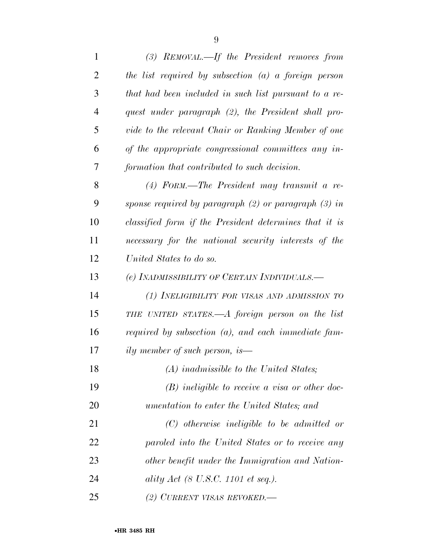| $\mathbf{1}$   | $(3)$ REMOVAL.—If the President removes from             |
|----------------|----------------------------------------------------------|
| $\overline{2}$ | the list required by subsection $(a)$ a foreign person   |
| 3              | that had been included in such list pursuant to a re-    |
| $\overline{4}$ | quest under paragraph (2), the President shall pro-      |
| 5              | vide to the relevant Chair or Ranking Member of one      |
| 6              | of the appropriate congressional committees any in-      |
| 7              | formation that contributed to such decision.             |
| 8              | $(4)$ FORM.—The President may transmit a re-             |
| 9              | sponse required by paragraph $(2)$ or paragraph $(3)$ in |
| 10             | classified form if the President determines that it is   |
| 11             | necessary for the national security interests of the     |
| 12             | United States to do so.                                  |
| 13             | (e) INADMISSIBILITY OF CERTAIN INDIVIDUALS.—             |
| 14             | (1) INELIGIBILITY FOR VISAS AND ADMISSION TO             |
| 15             | THE UNITED STATES.—A foreign person on the list          |
| 16             | required by subsection $(a)$ , and each immediate fam-   |
| 17             | <i>ily member of such person, is</i> —                   |
| 18             | (A) inadmissible to the United States;                   |
| 19             | $(B)$ ineligible to receive a visa or other doc-         |
| 20             | umentation to enter the United States; and               |
| 21             | $(C)$ otherwise ineligible to be admitted or             |
| 22             | paroled into the United States or to receive any         |
| 23             | other benefit under the Immigration and Nation-          |
| 24             | ality Act (8 U.S.C. 1101 et seq.).                       |
| 25             | (2) CURRENT VISAS REVOKED.—                              |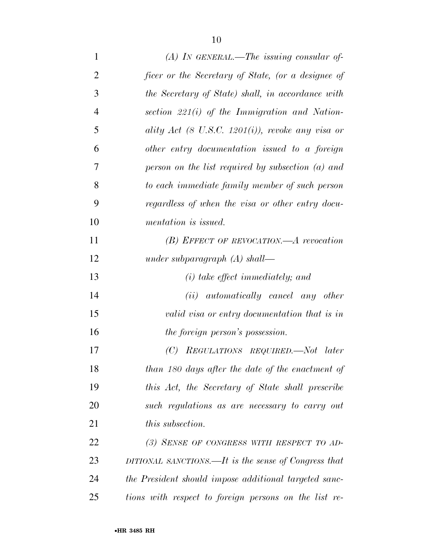| $\mathbf{1}$   | $(A)$ In GENERAL.—The issuing consular of-            |
|----------------|-------------------------------------------------------|
| $\overline{2}$ | ficer or the Secretary of State, (or a designee of    |
| 3              | the Secretary of State) shall, in accordance with     |
| $\overline{4}$ | section $221(i)$ of the Immigration and Nation-       |
| 5              | ality Act (8 U.S.C. 1201(i)), revoke any visa or      |
| 6              | other entry documentation issued to a foreign         |
| 7              | person on the list required by subsection $(a)$ and   |
| 8              | to each immediate family member of such person        |
| 9              | regardless of when the visa or other entry docu-      |
| 10             | mentation is issued.                                  |
| 11             | $(B)$ EFFECT OF REVOCATION.—A revocation              |
| 12             | under subparagraph $(A)$ shall—                       |
| 13             | $(i)$ take effect immediately; and                    |
| 14             | ( <i>ii</i> ) automatically cancel any other          |
| 15             | valid visa or entry documentation that is in          |
| 16             | the foreign person's possession.                      |
| 17             | (C)<br>REGULATIONS REQUIRED.—Not<br>later             |
| 18             | than 180 days after the date of the enactment of      |
| 19             | this Act, the Secretary of State shall prescribe      |
| 20             | such regulations as are necessary to carry out        |
| 21             | <i>this subsection.</i>                               |
| 22             | (3) SENSE OF CONGRESS WITH RESPECT TO AD-             |
| 23             | DITIONAL SANCTIONS.—It is the sense of Congress that  |
| 24             | the President should impose additional targeted sanc- |
| 25             | tions with respect to foreign persons on the list re- |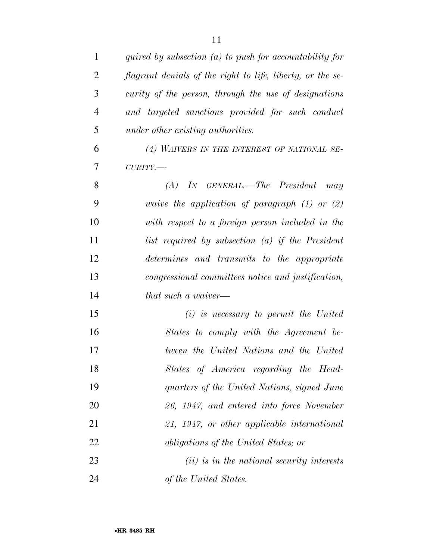| $\mathbf{1}$   | quired by subsection $(a)$ to push for accountability for  |
|----------------|------------------------------------------------------------|
| $\overline{2}$ | flagrant denials of the right to life, liberty, or the se- |
| 3              | curity of the person, through the use of designations      |
| $\overline{4}$ | and targeted sanctions provided for such conduct           |
| 5              | under other existing authorities.                          |
| 6              | (4) WAIVERS IN THE INTEREST OF NATIONAL SE-                |
| 7              | $\textit{CURITY}$ .                                        |
| 8              | $(A)$ In GENERAL.—The President may                        |
| 9              | waive the application of paragraph $(1)$ or $(2)$          |
| 10             | with respect to a foreign person included in the           |
| 11             | list required by subsection $(a)$ if the President         |
| 12             | determines and transmits to the appropriate                |
| 13             | congressional committees notice and justification,         |
| 14             | that such a waiver—                                        |
| 15             | $(i)$ is necessary to permit the United                    |
| 16             | States to comply with the Agreement be-                    |
| 17             | tween the United Nations and the United                    |
| 18             | States of America regarding the Head-                      |
| 19             | quarters of the United Nations, signed June                |
| 20             | 26, 1947, and entered into force November                  |
| 21             | 21, 1947, or other applicable international                |
| 22             | <i>obligations of the United States; or</i>                |
| 23             | $(ii)$ is in the national security interests               |
| 24             | of the United States.                                      |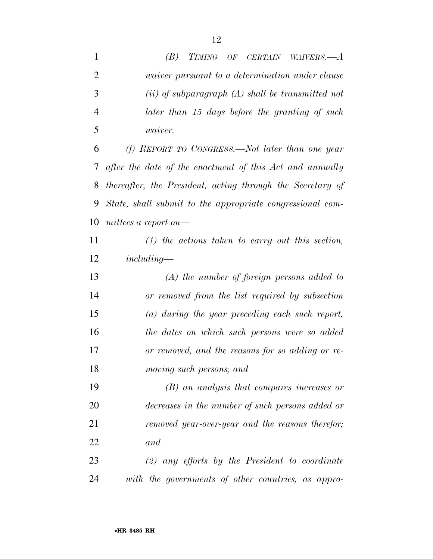| $\mathbf{1}$   | (B)<br>TIMING OF CERTAIN WAIVERS.—A                        |
|----------------|------------------------------------------------------------|
| $\overline{2}$ | <i>waiver pursuant to a determination under clause</i>     |
| 3              | $(ii)$ of subparagraph $(A)$ shall be transmitted not      |
| $\overline{4}$ | later than 15 days before the granting of such             |
| 5              | <i>waiver.</i>                                             |
| 6              | (f) REPORT TO CONGRESS.—Not later than one year            |
| 7              | after the date of the enactment of this Act and annually   |
| 8              | thereafter, the President, acting through the Secretary of |
| 9              | State, shall submit to the appropriate congressional com-  |
| 10             | mittees a report on—                                       |
| 11             | $(1)$ the actions taken to carry out this section,         |
| 12             | $including-$                                               |
| 13             | $(A)$ the number of foreign persons added to               |
| 14             | or removed from the list required by subsection            |
| 15             | $(a)$ during the year preceding each such report,          |
| 16             | the dates on which such persons were so added              |
| 17             | or removed, and the reasons for so adding or re-           |
| 18             | moving such persons; and                                   |
| 19             | $(B)$ an analysis that compares increases or               |
| 20             | decreases in the number of such persons added or           |
| 21             | removed year-over-year and the reasons therefor;           |
| 22             | and                                                        |
| 23             | $(2)$ any efforts by the President to coordinate           |
| 24             | with the governments of other countries, as appro-         |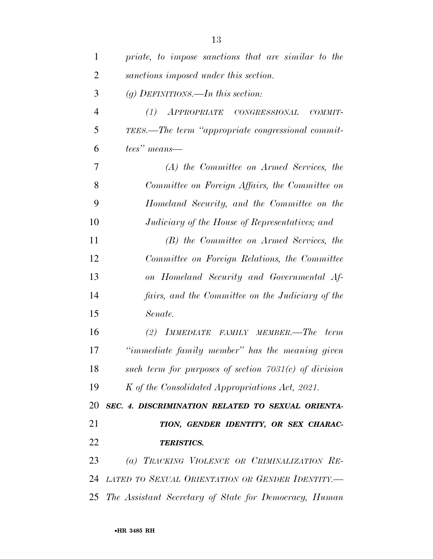| 1              | priate, to impose sanctions that are similar to the      |
|----------------|----------------------------------------------------------|
| $\overline{2}$ | sanctions imposed under this section.                    |
| 3              | (g) DEFINITIONS.—In this section:                        |
| $\overline{4}$ | APPROPRIATE CONGRESSIONAL<br>(1)<br>COMMIT-              |
| 5              | TEES.—The term "appropriate congressional commit-        |
| 6              | tees" means—                                             |
| 7              | (A) the Committee on Armed Services, the                 |
| 8              | Committee on Foreign Affairs, the Committee on           |
| 9              | Homeland Security, and the Committee on the              |
| 10             | Judiciary of the House of Representatives; and           |
| 11             | (B) the Committee on Armed Services, the                 |
| 12             | Committee on Foreign Relations, the Committee            |
| 13             | on Homeland Security and Governmental Af-                |
| 14             | fairs, and the Committee on the Judiciary of the         |
| 15             | Senate.                                                  |
| 16             | (2) IMMEDIATE FAMILY MEMBER.—The<br>term                 |
| 17             | "immediate family member" has the meaning given          |
| 18             | such term for purposes of section $7031(c)$ of division  |
| 19             | K of the Consolidated Appropriations Act, 2021.          |
| 20             | SEC. 4. DISCRIMINATION RELATED TO SEXUAL ORIENTA-        |
| 21             | TION, GENDER IDENTITY, OR SEX CHARAC-                    |
| 22             | <b>TERISTICS.</b>                                        |
| 23             | (a) TRACKING VIOLENCE OR CRIMINALIZATION RE-             |
| 24             | LATED TO SEXUAL ORIENTATION OR GENDER IDENTITY.-         |
|                | 25 The Assistant Secretary of State for Democracy, Human |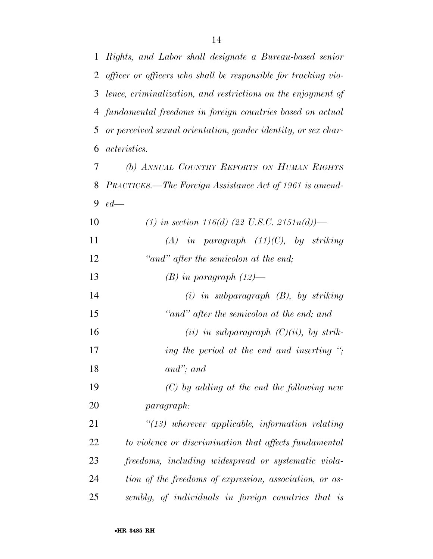*Rights, and Labor shall designate a Bureau-based senior* 

*officer or officers who shall be responsible for tracking vio-*

| 3  | lence, criminalization, and restrictions on the enjoyment of    |
|----|-----------------------------------------------------------------|
| 4  | fundamental freedoms in foreign countries based on actual       |
| 5  | or perceived sexual orientation, gender identity, or sex char-  |
| 6  | <i>acteristics.</i>                                             |
| 7  | (b) ANNUAL COUNTRY REPORTS ON HUMAN RIGHTS                      |
| 8  | PRACTICES.—The Foreign Assistance Act of 1961 is amend-         |
| 9  | $ed$ —                                                          |
| 10 | (1) in section 116(d) (22 U.S.C. 2151n(d))—                     |
| 11 | $(A)$ in paragraph $(11)(C)$ , by striking                      |
| 12 | "and" after the semicolon at the end;                           |
| 13 | $(B)$ in paragraph $(12)$ —                                     |
| 14 | $(i)$ in subparagraph $(B)$ , by striking                       |
| 15 | "and" after the semicolon at the end; and                       |
| 16 | (ii) in subparagraph $(C)(ii)$ , by strik-                      |
| 17 | ing the period at the end and inserting $\dddot{\phantom{2}}$ ; |
| 18 | $and$ "; and                                                    |
| 19 | $(C)$ by adding at the end the following new                    |
| 20 | paragraph:                                                      |
| 21 | $\lq(13)$ wherever applicable, information relating             |
| 22 | to violence or discrimination that affects fundamental          |
| 23 | freedoms, including widespread or systematic viola-             |
| 24 | tion of the freedoms of expression, association, or as-         |
| 25 | sembly, of individuals in foreign countries that is             |
|    |                                                                 |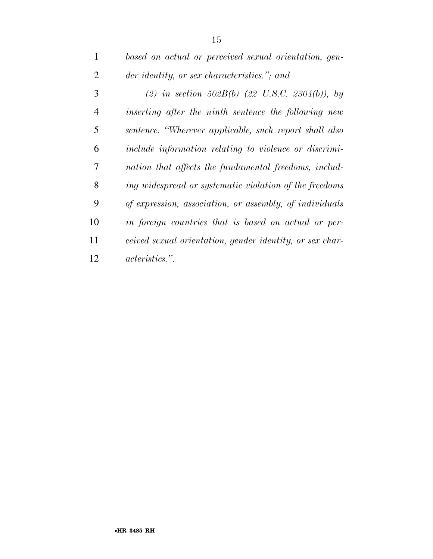| $\mathbf{1}$   | based on actual or perceived sexual orientation, gen-           |
|----------------|-----------------------------------------------------------------|
| $\overline{2}$ | der identity, or sex characteristics."; and                     |
| 3              | (2) in section 502B(b) (22 U.S.C. 2304(b)), by                  |
| 4              | inserting after the ninth sentence the following new            |
| 5              | sentence: "Wherever applicable, such report shall also          |
| 6              | include information relating to violence or discrimi-           |
| 7              | nation that affects the fundamental freedoms, includ-           |
| 8              | ing widespread or systematic violation of the freedoms          |
| 9              | of expression, association, or assembly, of individuals         |
| 10             | in foreign countries that is based on actual or per-            |
| 11             | <i>ceived sexual orientation, gender identity, or sex char-</i> |
| 12             | <i>acteristics.</i> ".                                          |